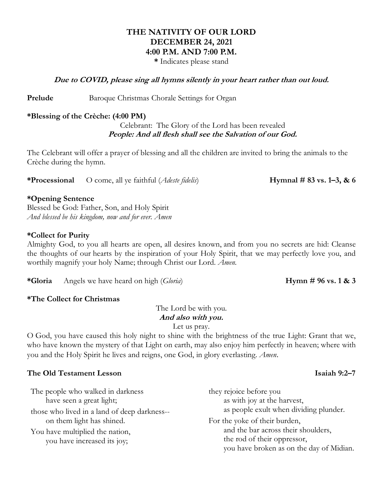# **THE NATIVITY OF OUR LORD DECEMBER 24, 2021 4:00 P.M. AND 7:00 P.M.**

**\*** Indicates please stand

#### **Due to COVID, please sing all hymns silently in your heart rather than out loud.**

**Prelude** Baroque Christmas Chorale Settings for Organ

#### **\*Blessing of the Crèche: (4:00 PM)**

#### Celebrant: The Glory of the Lord has been revealed **People: And all flesh shall see the Salvation of our God.**

The Celebrant will offer a prayer of blessing and all the children are invited to bring the animals to the Crèche during the hymn.

**\*Processional** O come, all ye faithful (*Adeste fidelis*) **Hymnal # 83 vs. 1–3, & 6**

#### **\*Opening Sentence**

Blessed be God: Father, Son, and Holy Spirit *And blessed be his kingdom, now and for ever. Amen*

#### **\*Collect for Purity**

Almighty God, to you all hearts are open, all desires known, and from you no secrets are hid: Cleanse the thoughts of our hearts by the inspiration of your Holy Spirit, that we may perfectly love you, and worthily magnify your holy Name; through Christ our Lord. *Amen.*

**\*Gloria** Angels we have heard on high (*Gloria*) **Hymn # 96 vs. 1 & 3**

#### **\*The Collect for Christmas**

The Lord be with you.

# **And also with you.**

Let us pray.

O God, you have caused this holy night to shine with the brightness of the true Light: Grant that we, who have known the mystery of that Light on earth, may also enjoy him perfectly in heaven; where with you and the Holy Spirit he lives and reigns, one God, in glory everlasting. *Amen*.

#### **The Old Testament Lesson Isaiah 9:2–7**

#### The people who walked in darkness have seen a great light; those who lived in a land of deep darkness- on them light has shined. You have multiplied the nation, you have increased its joy; they rejoice before you as with joy at the harvest, as people exult when dividing plunder. For the yoke of their burden, and the bar across their shoulders, the rod of their oppressor, you have broken as on the day of Midian.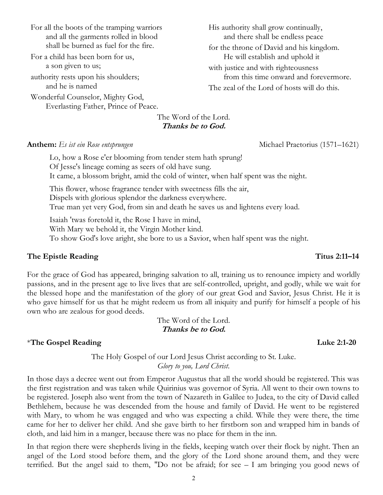For all the boots of the tramping warriors and all the garments rolled in blood shall be burned as fuel for the fire.

For a child has been born for us, a son given to us;

authority rests upon his shoulders; and he is named

Wonderful Counselor, Mighty God, Everlasting Father, Prince of Peace. His authority shall grow continually, and there shall be endless peace

for the throne of David and his kingdom. He will establish and uphold it with justice and with righteousness

from this time onward and forevermore. The zeal of the Lord of hosts will do this.

# The Word of the Lord. **Thanks be to God.**

# **Anthem:** *Es ist ein* Rose entsprungen **and** *Es ist ein* Rose entsprungen **a Michael Praetorius** (1571–1621)

Lo, how a Rose e'er blooming from tender stem hath sprung! Of Jesse's lineage coming as seers of old have sung. It came, a blossom bright, amid the cold of winter, when half spent was the night.

This flower, whose fragrance tender with sweetness fills the air, Dispels with glorious splendor the darkness everywhere. True man yet very God, from sin and death he saves us and lightens every load.

Isaiah 'twas foretold it, the Rose I have in mind, With Mary we behold it, the Virgin Mother kind. To show God's love aright, she bore to us a Savior, when half spent was the night.

# **The Epistle Reading Titus 2:11–14**

For the grace of God has appeared, bringing salvation to all, training us to renounce impiety and worldly passions, and in the present age to live lives that are self-controlled, upright, and godly, while we wait for the blessed hope and the manifestation of the glory of our great God and Savior, Jesus Christ. He it is who gave himself for us that he might redeem us from all iniquity and purify for himself a people of his own who are zealous for good deeds.

#### The Word of the Lord. **Thanks be to God.**

# \***The Gospel Reading Luke 2:1-20**

The Holy Gospel of our Lord Jesus Christ according to St. Luke. *Glory to you, Lord Christ.*

In those days a decree went out from Emperor Augustus that all the world should be registered. This was the first registration and was taken while Quirinius was governor of Syria. All went to their own towns to be registered. Joseph also went from the town of Nazareth in Galilee to Judea, to the city of David called Bethlehem, because he was descended from the house and family of David. He went to be registered with Mary, to whom he was engaged and who was expecting a child. While they were there, the time came for her to deliver her child. And she gave birth to her firstborn son and wrapped him in bands of cloth, and laid him in a manger, because there was no place for them in the inn.

In that region there were shepherds living in the fields, keeping watch over their flock by night. Then an angel of the Lord stood before them, and the glory of the Lord shone around them, and they were terrified. But the angel said to them, "Do not be afraid; for see – I am bringing you good news of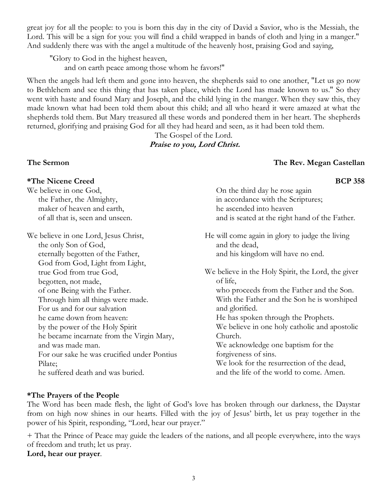great joy for all the people: to you is born this day in the city of David a Savior, who is the Messiah, the Lord. This will be a sign for you: you will find a child wrapped in bands of cloth and lying in a manger." And suddenly there was with the angel a multitude of the heavenly host, praising God and saying,

"Glory to God in the highest heaven,

and on earth peace among those whom he favors!"

When the angels had left them and gone into heaven, the shepherds said to one another, "Let us go now to Bethlehem and see this thing that has taken place, which the Lord has made known to us." So they went with haste and found Mary and Joseph, and the child lying in the manger. When they saw this, they made known what had been told them about this child; and all who heard it were amazed at what the shepherds told them. But Mary treasured all these words and pondered them in her heart. The shepherds returned, glorifying and praising God for all they had heard and seen, as it had been told them.

The Gospel of the Lord. **Praise to you, Lord Christ.**

# **\*The Nicene Creed BCP 358**

We believe in one God, the Father, the Almighty, maker of heaven and earth, of all that is, seen and unseen.

We believe in one Lord, Jesus Christ, the only Son of God, eternally begotten of the Father, God from God, Light from Light, true God from true God, begotten, not made, of one Being with the Father. Through him all things were made. For us and for our salvation he came down from heaven: by the power of the Holy Spirit he became incarnate from the Virgin Mary, and was made man. For our sake he was crucified under Pontius Pilate; he suffered death and was buried.

# **The Sermon The Rev. Megan Castellan**

| On the third day he rose again                                                                             |
|------------------------------------------------------------------------------------------------------------|
| in accordance with the Scriptures;                                                                         |
| he ascended into heaven                                                                                    |
| and is seated at the right hand of the Father.                                                             |
| He will come again in glory to judge the living<br>and the dead,                                           |
| and his kingdom will have no end.                                                                          |
| We believe in the Holy Spirit, the Lord, the giver<br>of life,                                             |
| who proceeds from the Father and the Son.<br>With the Father and the Son he is worshiped<br>and glorified. |
| He has spoken through the Prophets.                                                                        |
| We believe in one holy catholic and apostolic                                                              |
| Church.                                                                                                    |
| We acknowledge one baptism for the                                                                         |
| forgiveness of sins.                                                                                       |
| We look for the resurrection of the dead,                                                                  |
| and the life of the world to come. Amen.                                                                   |

# **\*The Prayers of the People**

The Word has been made flesh, the light of God's love has broken through our darkness, the Daystar from on high now shines in our hearts. Filled with the joy of Jesus' birth, let us pray together in the power of his Spirit, responding, "Lord, hear our prayer."

+ That the Prince of Peace may guide the leaders of the nations, and all people everywhere, into the ways of freedom and truth; let us pray. **Lord, hear our prayer**.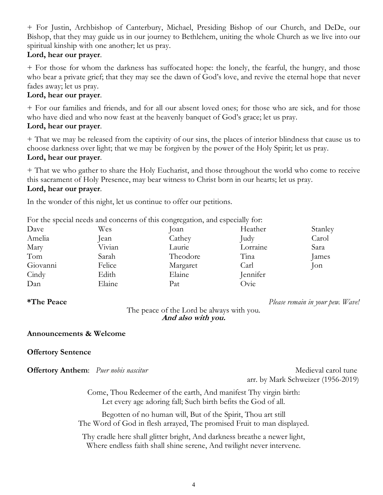+ For Justin, Archbishop of Canterbury, Michael, Presiding Bishop of our Church, and DeDe, our Bishop, that they may guide us in our journey to Bethlehem, uniting the whole Church as we live into our spiritual kinship with one another; let us pray.

# **Lord, hear our prayer**.

+ For those for whom the darkness has suffocated hope: the lonely, the fearful, the hungry, and those who bear a private grief; that they may see the dawn of God's love, and revive the eternal hope that never fades away; let us pray.

# **Lord, hear our prayer**.

+ For our families and friends, and for all our absent loved ones; for those who are sick, and for those who have died and who now feast at the heavenly banquet of God's grace; let us pray.

# **Lord, hear our prayer**.

+ That we may be released from the captivity of our sins, the places of interior blindness that cause us to choose darkness over light; that we may be forgiven by the power of the Holy Spirit; let us pray. **Lord, hear our prayer**.

+ That we who gather to share the Holy Eucharist, and those throughout the world who come to receive this sacrament of Holy Presence, may bear witness to Christ born in our hearts; let us pray.

# **Lord, hear our prayer**.

In the wonder of this night, let us continue to offer our petitions.

| Tor the special needs and concerns of this congregation, and especially for. |        |          |          |             |  |  |  |
|------------------------------------------------------------------------------|--------|----------|----------|-------------|--|--|--|
| Dave                                                                         | Wes    | Joan     | Heather  | Stanley     |  |  |  |
| Amelia                                                                       | ean    | Cathey   | Judy     | Carol       |  |  |  |
| Mary                                                                         | Vivian | Laurie   | Lorraine | Sara        |  |  |  |
| Tom                                                                          | Sarah  | Theodore | Tina     | James       |  |  |  |
| Giovanni                                                                     | Felice | Margaret | Carl     | $\lceil$ on |  |  |  |
| Cindy                                                                        | Edith  | Elaine   | Jennifer |             |  |  |  |
| Dan                                                                          | Elaine | Pat      | Ovie     |             |  |  |  |
|                                                                              |        |          |          |             |  |  |  |

For the special needs and concerns of this congregation, and especially for:

**\*The Peace** *Please remain in your pew. Wave!*

The peace of the Lord be always with you. **And also with you.**

# **Announcements & Welcome**

# **Offertory Sentence**

# **Offertory Anthem**: *Puer nobis nascitur* **Medieval carol tune** Medieval carol tune

arr. by Mark Schweizer (1956-2019)

Come, Thou Redeemer of the earth, And manifest Thy virgin birth: Let every age adoring fall; Such birth befits the God of all.

Begotten of no human will, But of the Spirit, Thou art still The Word of God in flesh arrayed, The promised Fruit to man displayed.

Thy cradle here shall glitter bright, And darkness breathe a newer light, Where endless faith shall shine serene, And twilight never intervene.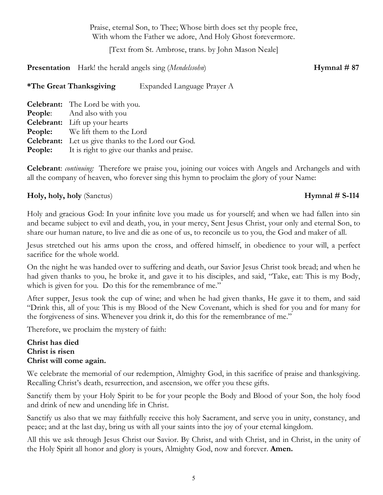Praise, eternal Son, to Thee; Whose birth does set thy people free, With whom the Father we adore, And Holy Ghost forevermore.

[Text from St. Ambrose, trans. by John Mason Neale]

**Presentation** Hark! the herald angels sing (*Mendelssohn*) **Hymnal # 87** 

**\*The Great Thanksgiving** Expanded Language Prayer A

**Celebrant:** The Lord be with you. **People:** And also with you **Celebrant:** Lift up your hearts **People:** We lift them to the Lord **Celebrant:** Let us give thanks to the Lord our God. **People:** It is right to give our thanks and praise.

**Celebrant**: *continuing:* Therefore we praise you, joining our voices with Angels and Archangels and with all the company of heaven, who forever sing this hymn to proclaim the glory of your Name:

# **Holy, holy, holy** (Sanctus) **Hymnal # S-114**

Holy and gracious God: In your infinite love you made us for yourself; and when we had fallen into sin and became subject to evil and death, you, in your mercy, Sent Jesus Christ, your only and eternal Son, to share our human nature, to live and die as one of us, to reconcile us to you, the God and maker of all.

Jesus stretched out his arms upon the cross, and offered himself, in obedience to your will, a perfect sacrifice for the whole world.

On the night he was handed over to suffering and death, our Savior Jesus Christ took bread; and when he had given thanks to you, he broke it, and gave it to his disciples, and said, "Take, eat: This is my Body, which is given for you. Do this for the remembrance of me."

After supper, Jesus took the cup of wine; and when he had given thanks, He gave it to them, and said "Drink this, all of you: This is my Blood of the New Covenant, which is shed for you and for many for the forgiveness of sins. Whenever you drink it, do this for the remembrance of me."

Therefore, we proclaim the mystery of faith:

## **Christ has died Christ is risen Christ will come again.**

We celebrate the memorial of our redemption, Almighty God, in this sacrifice of praise and thanksgiving. Recalling Christ's death, resurrection, and ascension, we offer you these gifts.

Sanctify them by your Holy Spirit to be for your people the Body and Blood of your Son, the holy food and drink of new and unending life in Christ.

Sanctify us also that we may faithfully receive this holy Sacrament, and serve you in unity, constancy, and peace; and at the last day, bring us with all your saints into the joy of your eternal kingdom.

All this we ask through Jesus Christ our Savior. By Christ, and with Christ, and in Christ, in the unity of the Holy Spirit all honor and glory is yours, Almighty God, now and forever. **Amen.**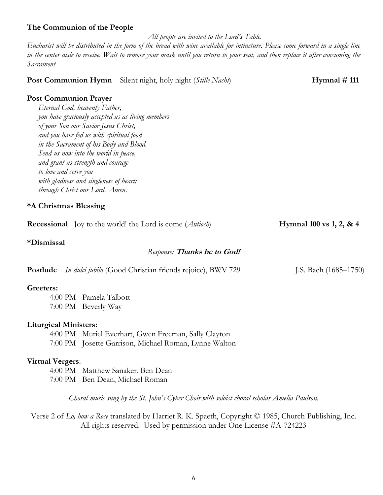## **The Communion of the People**

*All people are invited to the Lord's Table. Eucharist will be distributed in the form of the bread with wine available for intincture. Please come forward in a single line in the center aisle to receive. Wait to remove your mask until you return to your seat, and then replace it after consuming the Sacrament*

|                                                                                                                                                                                                               |                                                                                                                                                              | Post Communion Hymn Silent night, holy night (Stille Nacht)                                                   |                             | Hymnal $# 111$                                                                                          |  |
|---------------------------------------------------------------------------------------------------------------------------------------------------------------------------------------------------------------|--------------------------------------------------------------------------------------------------------------------------------------------------------------|---------------------------------------------------------------------------------------------------------------|-----------------------------|---------------------------------------------------------------------------------------------------------|--|
| <b>Post Communion Prayer</b><br>Eternal God, heavenly Father,<br>in the Sacrament of his Body and Blood.<br>to love and serve you<br>with gladness and singleness of heart;<br>through Christ our Lord. Amen. | of your Son our Savior Jesus Christ,<br>and you have fed us with spiritual food<br>Send us now into the world in peace,<br>and grant us strength and courage | you have graciously accepted us as living members                                                             |                             |                                                                                                         |  |
| *A Christmas Blessing                                                                                                                                                                                         |                                                                                                                                                              |                                                                                                               |                             |                                                                                                         |  |
| <b>Recessional</b> Joy to the world! the Lord is come ( <i>Antioch</i> )<br>Hymnal 100 vs 1, 2, & 4                                                                                                           |                                                                                                                                                              |                                                                                                               |                             |                                                                                                         |  |
| *Dismissal                                                                                                                                                                                                    |                                                                                                                                                              |                                                                                                               | Response: Thanks be to God! |                                                                                                         |  |
| Postlude                                                                                                                                                                                                      |                                                                                                                                                              | In dulci jubilo (Good Christian friends rejoice), BWV 729                                                     |                             | J.S. Bach (1685–1750)                                                                                   |  |
| Greeters:                                                                                                                                                                                                     | 4:00 PM Pamela Talbott<br>7:00 PM Beverly Way                                                                                                                |                                                                                                               |                             |                                                                                                         |  |
| <b>Liturgical Ministers:</b>                                                                                                                                                                                  |                                                                                                                                                              | 4:00 PM Muriel Everhart, Gwen Freeman, Sally Clayton<br>7:00 PM Josette Garrison, Michael Roman, Lynne Walton |                             |                                                                                                         |  |
| <b>Virtual Vergers:</b>                                                                                                                                                                                       |                                                                                                                                                              | 4:00 PM Matthew Sanaker, Ben Dean<br>7:00 PM Ben Dean, Michael Roman                                          |                             |                                                                                                         |  |
|                                                                                                                                                                                                               |                                                                                                                                                              |                                                                                                               |                             | Choral music sung by the St. John's Cyber Choir with soloist choral scholar Amelia Paulson.             |  |
|                                                                                                                                                                                                               |                                                                                                                                                              | All rights reserved. Used by permission under One License #A-724223                                           |                             | Verse 2 of Lo, how a Rose translated by Harriet R. K. Spaeth, Copyright © 1985, Church Publishing, Inc. |  |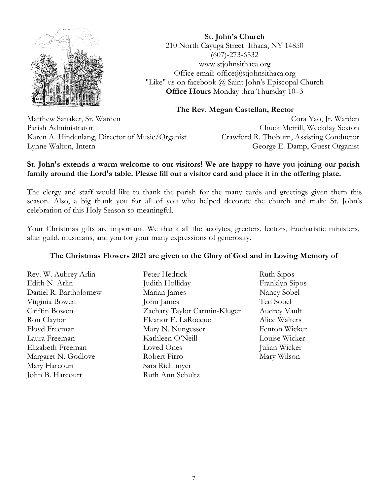

**St. John's Church** 210 North Cayuga Street Ithaca, NY 14850 (607)-273-6532 www.stjohnsithaca.org Office email: office@stjohnsithaca.org "Like" us on facebook @ Saint John's Episcopal Church **Office Hours** Monday thru Thursday 10–3

### **The Rev. Megan Castellan, Rector**

Matthew Sanaker, Sr. Warden Cora Yao, Jr. Warden Cora Yao, Jr. Warden Parish Administrator Chuck Merrill, Weekday Sexton Karen A. Hindenlang, Director of Music/Organist Crawford R. Thoburn, Assisting Conductor Lynne Walton, Intern George E. Damp, Guest Organist

# **St. John's extends a warm welcome to our visitors! We are happy to have you joining our parish family around the Lord's table. Please fill out a visitor card and place it in the offering plate.**

The clergy and staff would like to thank the parish for the many cards and greetings given them this season. Also, a big thank you for all of you who helped decorate the church and make St. John's celebration of this Holy Season so meaningful.

Your Christmas gifts are important. We thank all the acolytes, greeters, lectors, Eucharistic ministers, altar guild, musicians, and you for your many expressions of generosity.

# **The Christmas Flowers 2021 are given to the Glory of God and in Loving Memory of**

Peter Hedrick

Rev. W. Aubrey Arlin Edith N. Arlin Daniel R. Bartholomew Virginia Bowen Griffin Bowen Ron Clayton Floyd Freeman Laura Freeman Elizabeth Freeman Margaret N. Godlove Mary Harcourt John B. Harcourt

Judith Holliday Marian James John James Zachary Taylor Carmin-Kluger Eleanor E. LaRocque Mary N. Nungesser Kathleen O'Neill Loved Ones Robert Pirro Sara Richtmyer Ruth Ann Schultz

Ruth Sipos Franklyn Sipos Nancy Sobel Ted Sobel Audrey Vault Alice Walters Fenton Wicker Louise Wicker Julian Wicker Mary Wilson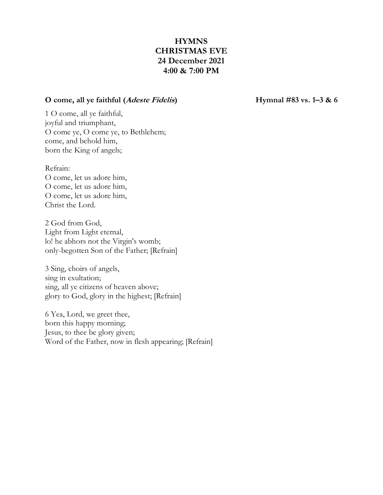# **HYMNS CHRISTMAS EVE 24 December 2021 4:00 & 7:00 PM**

### **O come, all ye faithful (Adeste Fidelis) Hymnal #83 vs. 1–3 & 6**

1 O come, all ye faithful, joyful and triumphant, O come ye, O come ye, to Bethlehem; come, and behold him, born the King of angels;

Refrain: O come, let us adore him, O come, let us adore him, O come, let us adore him, Christ the Lord.

2 God from God, Light from Light eternal, lo! he abhors not the Virgin's womb; only-begotten Son of the Father; [Refrain]

3 Sing, choirs of angels, sing in exultation; sing, all ye citizens of heaven above; glory to God, glory in the highest; [Refrain]

6 Yea, Lord, we greet thee, born this happy morning; Jesus, to thee be glory given; Word of the Father, now in flesh appearing; [Refrain]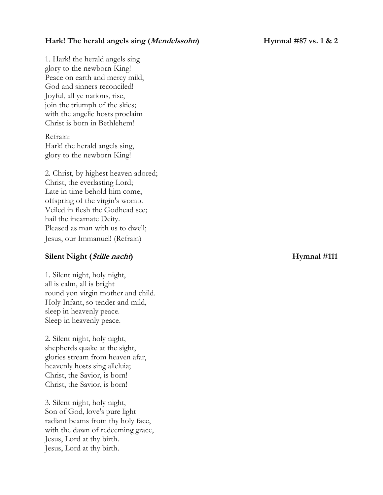### **Hark! The herald angels sing (Mendelssohn) Hymnal #87 vs. 1 & 2**

1. Hark! the herald angels sing glory to the newborn King! Peace on earth and mercy mild, God and sinners reconciled! Joyful, all ye nations, rise, join the triumph of the skies; with the angelic hosts proclaim Christ is born in Bethlehem!

Refrain: Hark! the herald angels sing, glory to the newborn King!

2. Christ, by highest heaven adored; Christ, the everlasting Lord; Late in time behold him come, offspring of the virgin's womb. Veiled in flesh the Godhead see; hail the incarnate Deity. Pleased as man with us to dwell; Jesus, our Immanuel! (Refrain)

### **Silent Night (Stille nacht) Hymnal #111**

1. Silent night, holy night, all is calm, all is bright round yon virgin mother and child. Holy Infant, so tender and mild, sleep in heavenly peace. Sleep in heavenly peace.

2. Silent night, holy night, shepherds quake at the sight, glories stream from heaven afar, heavenly hosts sing alleluia; Christ, the Savior, is born! Christ, the Savior, is born!

3. Silent night, holy night, Son of God, love's pure light radiant beams from thy holy face, with the dawn of redeeming grace, Jesus, Lord at thy birth. Jesus, Lord at thy birth.